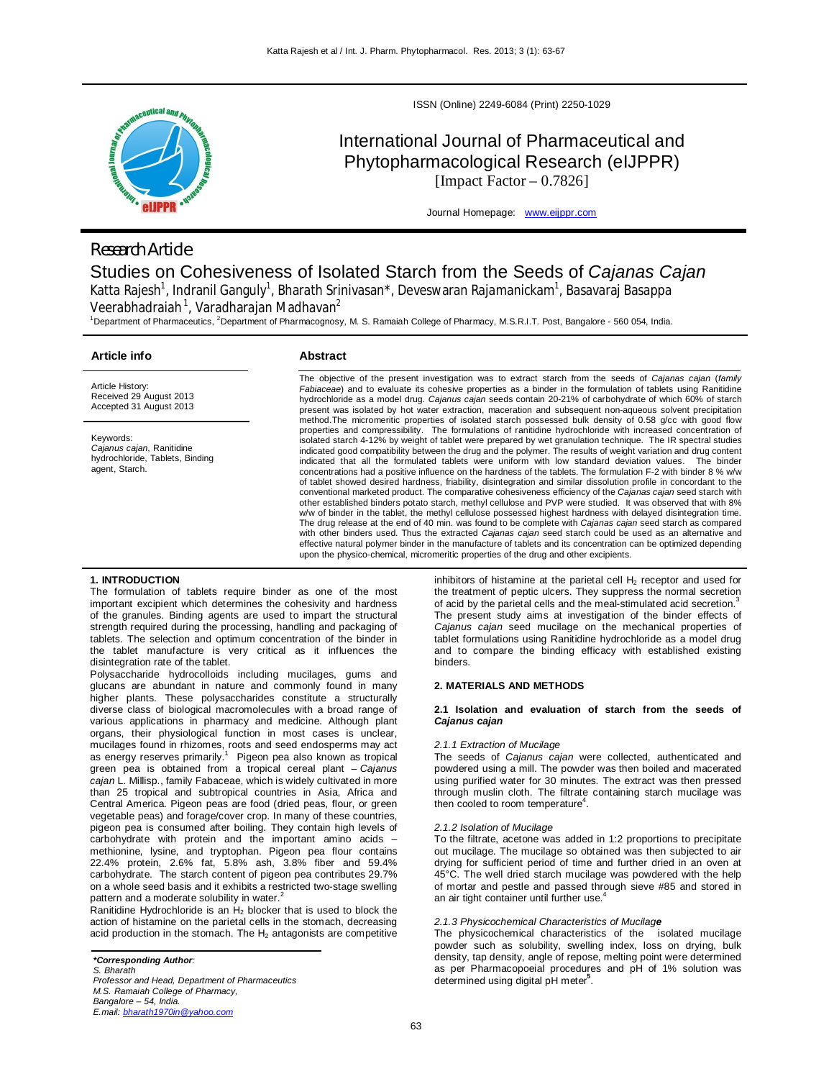

# *Research Article*

ISSN (Online) 2249-6084 (Print) 2250-1029

# International Journal of Pharmaceutical and Phytopharmacological Research (eIJPPR) [Impact Factor  $-0.7826$ ]

Journal Homepage: www.eijppr.com

# Studies on Cohesiveness of Isolated Starch from the Seeds of *Cajanas Cajan* Katta Rajesh<sup>1</sup>, Indranil Ganguly<sup>1</sup>, Bharath Srinivasan\*, Deveswaran Rajamanickam<sup>1</sup>, Basavaraj Basappa Veerabhadraiah $^1$ , Varadharajan Madhavan $^2$

<sup>1</sup>Department of Pharmaceutics, <sup>2</sup>Department of Pharmacognosy, M. S. Ramaiah College of Pharmacy, M.S.R.I.T. Post, Bangalore - 560 054, India.

# **Article info**

# **Abstract**

Article History: Received 29 August 2013 Accepted 31 August 2013

Keywords: *Cajanus cajan*, Ranitidine hydrochloride, Tablets, Binding agent, Starch.

The objective of the present investigation was to extract starch from the seeds of *Cajanas cajan* (*family Fabiaceae*) and to evaluate its cohesive properties as a binder in the formulation of tablets using Ranitidine hydrochloride as a model drug. *Cajanus cajan* seeds contain 20-21% of carbohydrate of which 60% of starch present was isolated by hot water extraction, maceration and subsequent non-aqueous solvent precipitation method.The micromeritic properties of isolated starch possessed bulk density of 0.58 g/cc with good flow properties and compressibility. The formulations of ranitidine hydrochloride with increased concentration of isolated starch 4-12% by weight of tablet were prepared by wet granulation technique. The IR spectral studies<br>indicated good compatibility between the drug and the polymer. The results of weight variation and drug content<br> concentrations had a positive influence on the hardness of the tablets. The formulation F-2 with binder 8 % w/w of tablet showed desired hardness, friability, disintegration and similar dissolution profile in concordant to the conventional marketed product. The comparative cohesiveness efficiency of the *Cajanas cajan* seed starch with other established binders potato starch, methyl cellulose and PVP were studied. It was observed that with 8% w/w of binder in the tablet, the methyl cellulose possessed highest hardness with delayed disintegration time. The drug release at the end of 40 min. was found to be complete with *Cajanas cajan* seed starch as compared with other binders used. Thus the extracted *Cajanas cajan* seed starch could be used as an alternative and effective natural polymer binder in the manufacture of tablets and its concentration can be optimized depending upon the physico-chemical, micromeritic properties of the drug and other excipients.

# **1. INTRODUCTION**

The formulation of tablets require binder as one of the most important excipient which determines the cohesivity and hardness of the granules. Binding agents are used to impart the structural strength required during the processing, handling and packaging of tablets. The selection and optimum concentration of the binder in the tablet manufacture is very critical as it influences the disintegration rate of the tablet.

Polysaccharide hydrocolloids including mucilages, gums and glucans are abundant in nature and commonly found in many higher plants. These polysaccharides constitute a structurally diverse class of biological macromolecules with a broad range of various applications in pharmacy and medicine. Although plant organs, their physiological function in most cases is unclear, mucilages found in rhizomes, roots and seed endosperms may act as energy reserves primarily.<sup>1</sup> Pigeon pea also known as tropical green pea is obtained from a tropical cereal plant – *Cajanus cajan* L. Millisp., family Fabaceae, which is widely cultivated in more than 25 tropical and subtropical countries in Asia, Africa and Central America. Pigeon peas are food (dried peas, flour, or green vegetable peas) and forage/cover crop. In many of these countries, pigeon pea is consumed after boiling. They contain high levels of carbohydrate with protein and the important amino acids – methionine, lysine, and tryptophan. Pigeon pea flour contains 22.4% protein, 2.6% fat, 5.8% ash, 3.8% fiber and 59.4% carbohydrate. The starch content of pigeon pea contributes 29.7% on a whole seed basis and it exhibits a restricted two-stage swelling pattern and a moderate solubility in water.

Ranitidine Hydrochloride is an  $H_2$  blocker that is used to block the action of histamine on the parietal cells in the stomach, decreasing acid production in the stomach. The  $H_2$  antagonists are competitive inhibitors of histamine at the parietal cell  $H_2$  receptor and used for the treatment of peptic ulcers. They suppress the normal secretion of acid by the parietal cells and the meal-stimulated acid secretion. The present study aims at investigation of the binder effects of *Cajanus cajan* seed mucilage on the mechanical properties of tablet formulations using Ranitidine hydrochloride as a model drug and to compare the binding efficacy with established existing binders.

## **2. MATERIALS AND METHODS**

# **2.1 Isolation and evaluation of starch from the seeds of**  *Cajanus cajan*

#### *2.1.1 Extraction of Mucilage*

The seeds of *Cajanus cajan* were collected, authenticated and powdered using a mill. The powder was then boiled and macerated using purified water for 30 minutes. The extract was then pressed through muslin cloth. The filtrate containing starch mucilage was then cooled to room temperature<sup>4</sup>.

#### *2.1.2 Isolation of Mucilage*

To the filtrate, acetone was added in 1:2 proportions to precipitate out mucilage. The mucilage so obtained was then subjected to air drying for sufficient period of time and further dried in an oven at 45°C. The well dried starch mucilage was powdered with the help of mortar and pestle and passed through sieve #85 and stored in an air tight container until further use.<sup>4</sup>

# *2.1.3 Physicochemical Characteristics of Mucilage*

The physicochemical characteristics of the isolated mucilage powder such as solubility, swelling index, loss on drying, bulk density, tap density, angle of repose, melting point were determined as per Pharmacopoeial procedures and pH of 1% solution was determined using digital pH meter**<sup>5</sup>** .

*Professor and Head, Department of Pharmaceutics M.S. Ramaiah College of Pharmacy, Bangalore – 54, India. E.mail: bharath1970in@yahoo.com*

*<sup>\*</sup>Corresponding Author:*

*S. Bharath*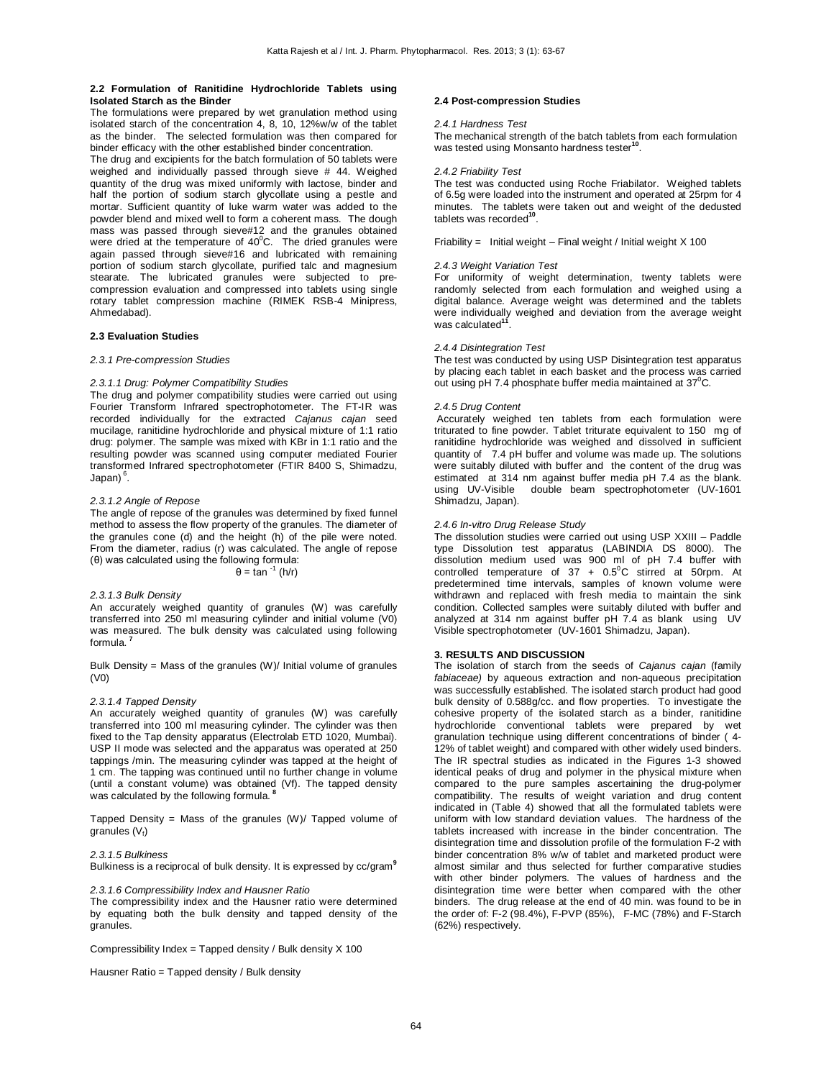## **2.2 Formulation of Ranitidine Hydrochloride Tablets using Isolated Starch as the Binder**

The formulations were prepared by wet granulation method using isolated starch of the concentration 4, 8, 10, 12%w/w of the tablet as the binder. The selected formulation was then compared for binder efficacy with the other established binder concentration.

The drug and excipients for the batch formulation of 50 tablets were weighed and individually passed through sieve # 44. Weighed quantity of the drug was mixed uniformly with lactose, binder and half the portion of sodium starch glycollate using a pestle and mortar. Sufficient quantity of luke warm water was added to the powder blend and mixed well to form a coherent mass. The dough mass was passed through sieve#12 and the granules obtained were dried at the temperature of  $40^{\circ}$ C. The dried granules were again passed through sieve#16 and lubricated with remaining portion of sodium starch glycollate, purified talc and magnesium stearate. The lubricated granules were subjected to precompression evaluation and compressed into tablets using single rotary tablet compression machine (RIMEK RSB-4 Minipress, Ahmedabad).

## **2.3 Evaluation Studies**

### *2.3.1 Pre-compression Studies*

### *2.3.1.1 Drug: Polymer Compatibility Studies*

The drug and polymer compatibility studies were carried out using Fourier Transform Infrared spectrophotometer. The FT-IR was recorded individually for the extracted *Cajanus cajan* seed mucilage, ranitidine hydrochloride and physical mixture of 1:1 ratio drug: polymer. The sample was mixed with KBr in 1:1 ratio and the resulting powder was scanned using computer mediated Fourier transformed Infrared spectrophotometer (FTIR 8400 S, Shimadzu, Japan) <sup>6</sup>.

## *2.3.1.2 Angle of Repose*

The angle of repose of the granules was determined by fixed funnel method to assess the flow property of the granules. The diameter of the granules cone (d) and the height (h) of the pile were noted. From the diameter, radius (r) was calculated. The angle of repose (θ) was calculated using the following formula:

# θ = tan  $^{-1}$  (h/r)

## *2.3.1.3 Bulk Density*

An accurately weighed quantity of granules (W) was carefully transferred into 250 ml measuring cylinder and initial volume (V0) was measured. The bulk density was calculated using following formula. **<sup>7</sup>**

Bulk Density = Mass of the granules (W)/ Initial volume of granules (V0)

#### *2.3.1.4 Tapped Density*

An accurately weighed quantity of granules (W) was carefully transferred into 100 ml measuring cylinder. The cylinder was then fixed to the Tap density apparatus (Electrolab ETD 1020, Mumbai). USP II mode was selected and the apparatus was operated at 250 tappings /min. The measuring cylinder was tapped at the height of 1 cm. The tapping was continued until no further change in volume (until a constant volume) was obtained (Vf). The tapped density was calculated by the following formula. **<sup>8</sup>**

Tapped Density = Mass of the granules  $(W)/$  Tapped volume of granules  $(V_f)$ 

## *2.3.1.5 Bulkiness*

Bulkiness is a reciprocal of bulk density. It is expressed by cc/gram**<sup>9</sup>**

# *2.3.1.6 Compressibility Index and Hausner Ratio*

The compressibility index and the Hausner ratio were determined by equating both the bulk density and tapped density of the granules.

Compressibility Index = Tapped density / Bulk density X 100

Hausner Ratio = Tapped density / Bulk density

#### **2.4 Post-compression Studies**

### *2.4.1 Hardness Test*

The mechanical strength of the batch tablets from each formulation was tested using Monsanto hardness tester**<sup>10</sup>** .

### *2.4.2 Friability Test*

The test was conducted using Roche Friabilator. Weighed tablets of 6.5g were loaded into the instrument and operated at 25rpm for 4 minutes. The tablets were taken out and weight of the dedusted tablets was recorded<sup>1</sup> .

Friability = Initial weight – Final weight / Initial weight  $X$  100

#### *2.4.3 Weight Variation Test*

For uniformity of weight determination, twenty tablets were randomly selected from each formulation and weighed using a digital balance. Average weight was determined and the tablets were individually weighed and deviation from the average weight was calculated**<sup>11</sup>** .

#### *2.4.4 Disintegration Test*

The test was conducted by using USP Disintegration test apparatus by placing each tablet in each basket and the process was carried out using pH 7.4 phosphate buffer media maintained at  $37^{\circ}$ C.

# *2.4.5 Drug Content*

Accurately weighed ten tablets from each formulation were triturated to fine powder. Tablet triturate equivalent to 150 mg of ranitidine hydrochloride was weighed and dissolved in sufficient quantity of 7.4 pH buffer and volume was made up. The solutions were suitably diluted with buffer and the content of the drug was estimated at 314 nm against buffer media pH 7.4 as the blank.<br>using UV-Visible double beam spectrophotometer (UV-1601 double beam spectrophotometer (UV-1601 Shimadzu, Japan).

# *2.4.6 In-vitro Drug Release Study*

The dissolution studies were carried out using USP XXIII – Paddle type Dissolution test apparatus (LABINDIA DS 8000). The dissolution medium used was 900 ml of pH 7.4 buffer with controlled temperature of  $37 + 0.5^{\circ}$ C stirred at 50rpm. At predetermined time intervals, samples of known volume were withdrawn and replaced with fresh media to maintain the sink condition. Collected samples were suitably diluted with buffer and analyzed at 314 nm against buffer pH 7.4 as blank using UV Visible spectrophotometer (UV-1601 Shimadzu, Japan).

### **3. RESULTS AND DISCUSSION**

The isolation of starch from the seeds of *Cajanus cajan* (family *fabiaceae)* by aqueous extraction and non-aqueous precipitation was successfully established. The isolated starch product had good bulk density of 0.588g/cc. and flow properties. To investigate the cohesive property of the isolated starch as a binder, ranitidine hydrochloride conventional tablets were prepared by wet granulation technique using different concentrations of binder ( 4- 12% of tablet weight) and compared with other widely used binders. The IR spectral studies as indicated in the Figures 1-3 showed identical peaks of drug and polymer in the physical mixture when compared to the pure samples ascertaining the drug-polymer compatibility. The results of weight variation and drug content indicated in (Table 4) showed that all the formulated tablets were uniform with low standard deviation values. The hardness of the tablets increased with increase in the binder concentration. The disintegration time and dissolution profile of the formulation F-2 with binder concentration 8% w/w of tablet and marketed product were almost similar and thus selected for further comparative studies with other binder polymers. The values of hardness and the disintegration time were better when compared with the other binders. The drug release at the end of 40 min. was found to be in the order of: F-2 (98.4%), F-PVP (85%), F-MC (78%) and F-Starch (62%) respectively.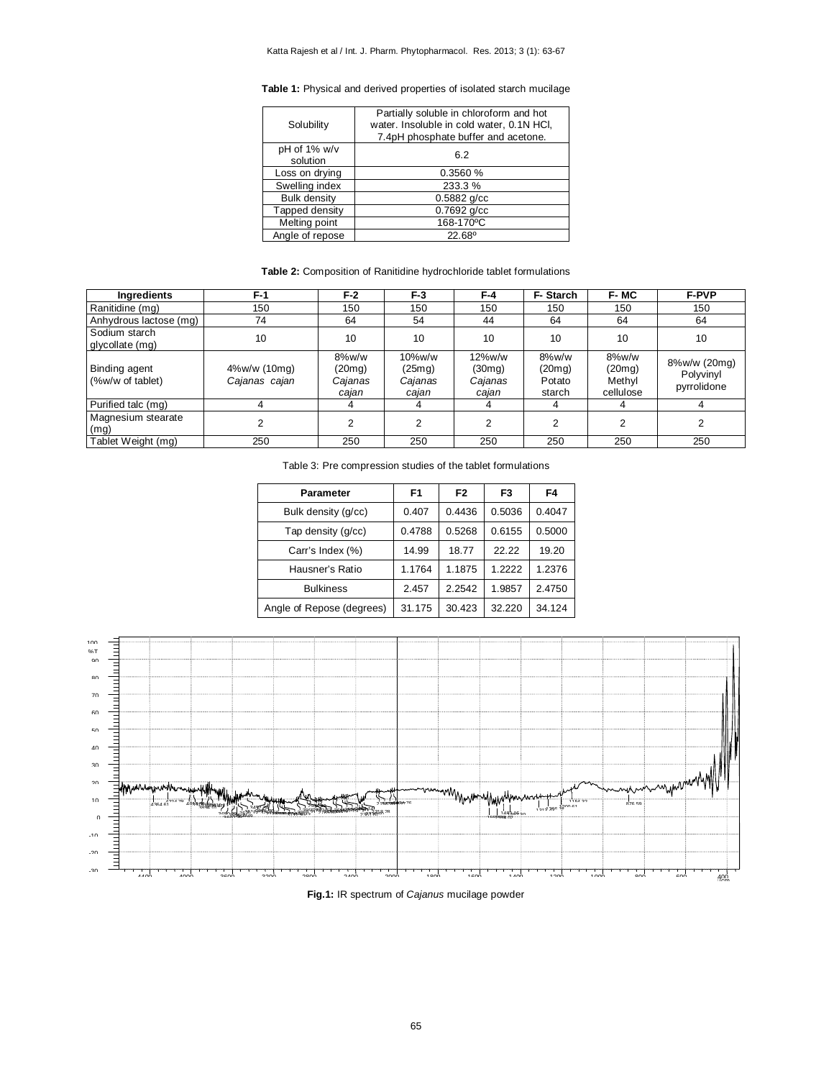**Table 1:** Physical and derived properties of isolated starch mucilage

| Solubility                 | Partially soluble in chloroform and hot<br>water. Insoluble in cold water, 0.1N HCI,<br>7.4pH phosphate buffer and acetone. |
|----------------------------|-----------------------------------------------------------------------------------------------------------------------------|
| $pH$ of 1% w/v<br>solution | 6.2                                                                                                                         |
| Loss on drying             | 0.3560%                                                                                                                     |
| Swelling index             | 233.3%                                                                                                                      |
| <b>Bulk density</b>        | $0.5882$ g/cc                                                                                                               |
| Tapped density             | $0.7692$ g/cc                                                                                                               |
| Melting point              | 168-170°C                                                                                                                   |
| Angle of repose            | $22.68^{\circ}$                                                                                                             |

# **Table 2:** Composition of Ranitidine hydrochloride tablet formulations

| Ingredients                              | $F-1$                         | $F-2$                               | $F-3$                                | F-4                                  | F-Starch                            | F-MC                                   | <b>F-PVP</b>                             |
|------------------------------------------|-------------------------------|-------------------------------------|--------------------------------------|--------------------------------------|-------------------------------------|----------------------------------------|------------------------------------------|
| Ranitidine (mg)                          | 150                           | 150                                 | 150                                  | 150                                  | 150                                 | 150                                    | 150                                      |
| Anhydrous lactose (mg)                   | 74                            | 64                                  | 54                                   | 44                                   | 64                                  | 64                                     | 64                                       |
| Sodium starch<br>glycollate (mg)         | 10                            | 10                                  | 10                                   | 10                                   | 10                                  | 10                                     | 10                                       |
| <b>Binding agent</b><br>(%w/w of tablet) | 4%w/w (10mg)<br>Cajanas cajan | 8%w/w<br>(20mg)<br>Cajanas<br>cajan | 10%w/w<br>(25mg)<br>Cajanas<br>cajan | 12%w/w<br>(30mg)<br>Cajanas<br>cajan | 8%w/w<br>(20mg)<br>Potato<br>starch | 8%w/w<br>(20mg)<br>Methyl<br>cellulose | 8%w/w (20mg)<br>Polyvinyl<br>pyrrolidone |
| Purified talc (mg)                       |                               | 4                                   | 4                                    | 4                                    | 4                                   |                                        |                                          |
| Magnesium stearate<br>(mg)               |                               | 2                                   | 2                                    | 2                                    | っ                                   | ົ                                      |                                          |
| Tablet Weight (mg)                       | 250                           | 250                                 | 250                                  | 250                                  | 250                                 | 250                                    | 250                                      |

Table 3: Pre compression studies of the tablet formulations

| <b>Parameter</b>          | F <sub>1</sub> | F <sub>2</sub> | F <sub>3</sub> | F4     |
|---------------------------|----------------|----------------|----------------|--------|
| Bulk density (g/cc)       | 0.407          | 0.4436         | 0.5036         | 0.4047 |
| Tap density (g/cc)        | 0.4788         | 0.5268         | 0.6155         | 0.5000 |
| Carr's Index (%)          | 14.99          | 18.77          | 22.22          | 19.20  |
| Hausner's Ratio           | 1.1764         | 1.1875         | 1.2222         | 1.2376 |
| <b>Bulkiness</b>          | 2.457          | 2.2542         | 1.9857         | 2.4750 |
| Angle of Repose (degrees) | 31.175         | 30.423         | 32.220         | 34.124 |



**Fig.1:** IR spectrum of *Cajanus* mucilage powder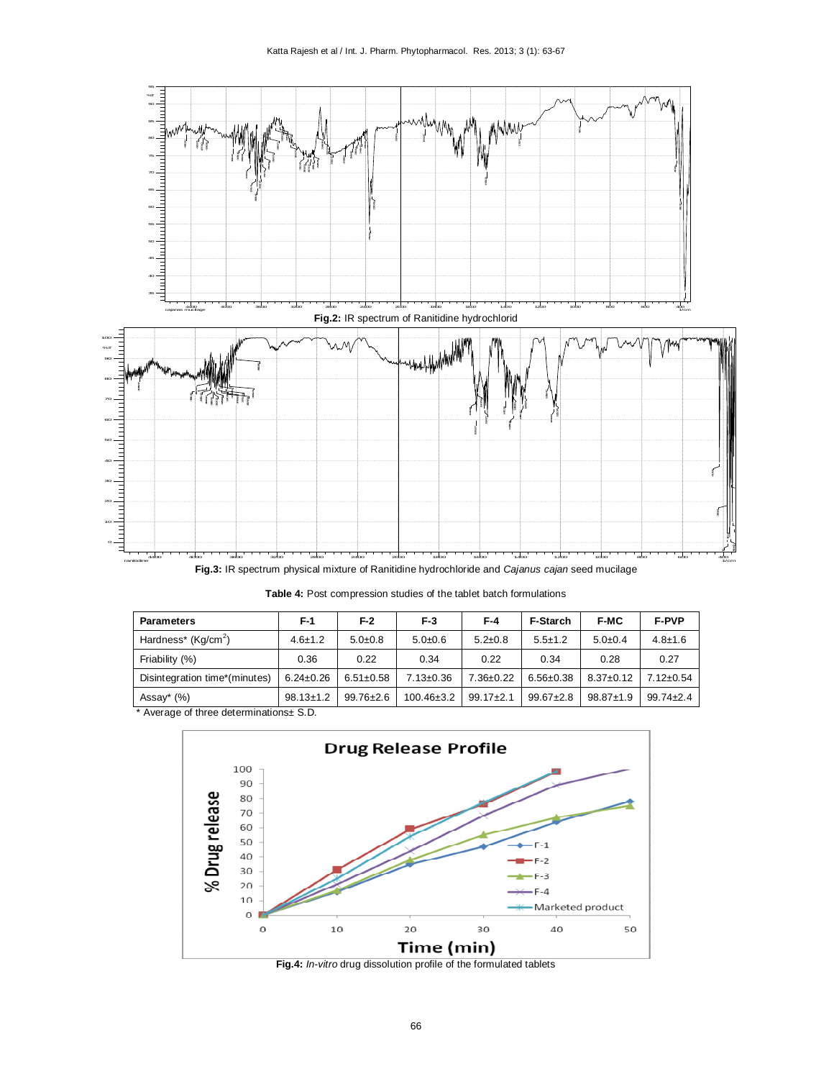

**Fig.3:** IR spectrum physical mixture of Ranitidine hydrochloride and *Cajanus cajan* seed mucilage

| <b>Parameters</b>               | F-1             | F-2             | F-3              | F-4             | <b>F-Starch</b> | <b>F-MC</b>     | <b>F-PVP</b>    |
|---------------------------------|-----------------|-----------------|------------------|-----------------|-----------------|-----------------|-----------------|
| Hardness* (Kg/cm <sup>2</sup> ) | $4.6 \pm 1.2$   | $5.0+0.8$       | $5.0 + 0.6$      | $5.2 \pm 0.8$   | $5.5 \pm 1.2$   | $5.0+0.4$       | $4.8 + 1.6$     |
| Friability (%)                  | 0.36            | 0.22            | 0.34             | 0.22            | 0.34            | 0.28            | 0.27            |
| Disintegration time*(minutes)   | $6.24 \pm 0.26$ | $6.51 \pm 0.58$ | $7.13 \pm 0.36$  | $7.36 \pm 0.22$ | $6.56 \pm 0.38$ | $8.37 \pm 0.12$ | $7.12 \pm 0.54$ |
| Assay $*(\%)$                   | $98.13 \pm 1.2$ | $99.76 \pm 2.6$ | $100.46 \pm 3.2$ | $99.17 + 2.1$   | $99.67 + 2.8$   | $98.87 \pm 1.9$ | $99.74 + 2.4$   |

Average of three determinations $\pm$  S.D.



**Fig.4:** *In-vitro* drug dissolution profile of the formulated tablets